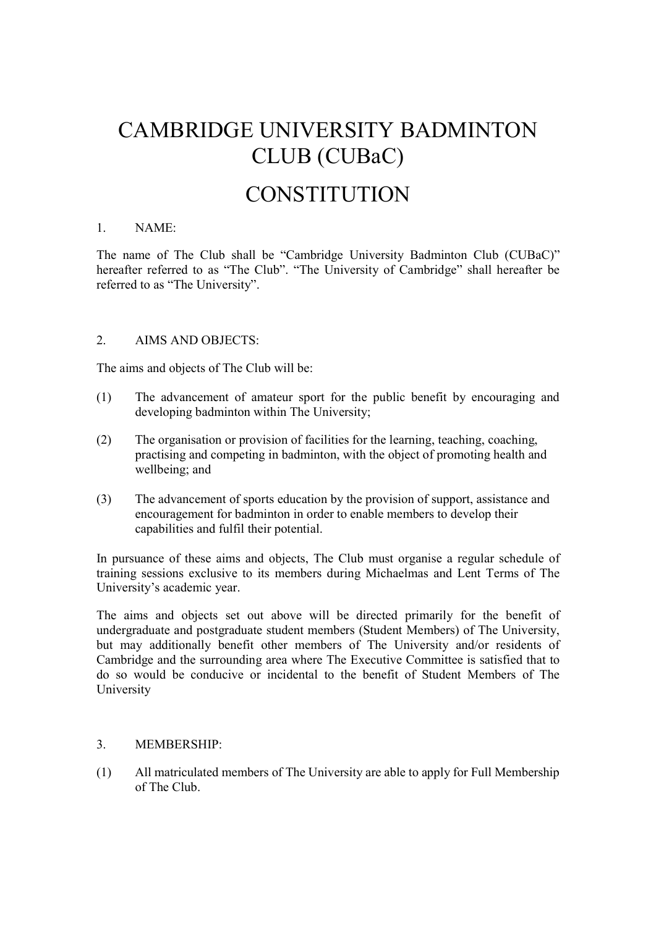# CAMBRIDGE UNIVERSITY BADMINTON CLUB (CUBaC)

# **CONSTITUTION**

#### 1. NAME:

The name of The Club shall be "Cambridge University Badminton Club (CUBaC)" hereafter referred to as "The Club". "The University of Cambridge" shall hereafter be referred to as "The University".

#### 2. AIMS AND OBJECTS:

The aims and objects of The Club will be:

- (1) The advancement of amateur sport for the public benefit by encouraging and developing badminton within The University;
- (2) The organisation or provision of facilities for the learning, teaching, coaching, practising and competing in badminton, with the object of promoting health and wellbeing; and
- (3) The advancement of sports education by the provision of support, assistance and encouragement for badminton in order to enable members to develop their capabilities and fulfil their potential.

In pursuance of these aims and objects, The Club must organise a regular schedule of training sessions exclusive to its members during Michaelmas and Lent Terms of The University's academic year.

The aims and objects set out above will be directed primarily for the benefit of undergraduate and postgraduate student members (Student Members) of The University, but may additionally benefit other members of The University and/or residents of Cambridge and the surrounding area where The Executive Committee is satisfied that to do so would be conducive or incidental to the benefit of Student Members of The University

# 3. MEMBERSHIP:

(1) All matriculated members of The University are able to apply for Full Membership of The Club.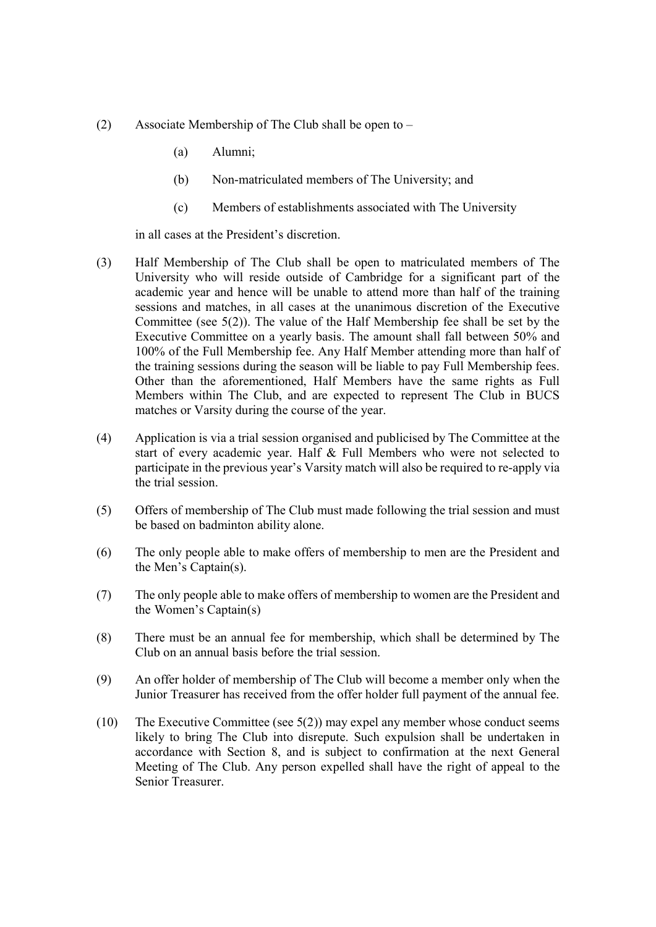- (2) Associate Membership of The Club shall be open to
	- (a) Alumni;
	- (b) Non-matriculated members of The University; and
	- (c) Members of establishments associated with The University

in all cases at the President's discretion.

- (3) Half Membership of The Club shall be open to matriculated members of The University who will reside outside of Cambridge for a significant part of the academic year and hence will be unable to attend more than half of the training sessions and matches, in all cases at the unanimous discretion of the Executive Committee (see 5(2)). The value of the Half Membership fee shall be set by the Executive Committee on a yearly basis. The amount shall fall between 50% and 100% of the Full Membership fee. Any Half Member attending more than half of the training sessions during the season will be liable to pay Full Membership fees. Other than the aforementioned, Half Members have the same rights as Full Members within The Club, and are expected to represent The Club in BUCS matches or Varsity during the course of the year.
- (4) Application is via a trial session organised and publicised by The Committee at the start of every academic year. Half & Full Members who were not selected to participate in the previous year's Varsity match will also be required to re-apply via the trial session.
- (5) Offers of membership of The Club must made following the trial session and must be based on badminton ability alone.
- (6) The only people able to make offers of membership to men are the President and the Men's Captain(s).
- (7) The only people able to make offers of membership to women are the President and the Women's Captain(s)
- (8) There must be an annual fee for membership, which shall be determined by The Club on an annual basis before the trial session.
- (9) An offer holder of membership of The Club will become a member only when the Junior Treasurer has received from the offer holder full payment of the annual fee.
- (10) The Executive Committee (see 5(2)) may expel any member whose conduct seems likely to bring The Club into disrepute. Such expulsion shall be undertaken in accordance with Section 8, and is subject to confirmation at the next General Meeting of The Club. Any person expelled shall have the right of appeal to the Senior Treasurer.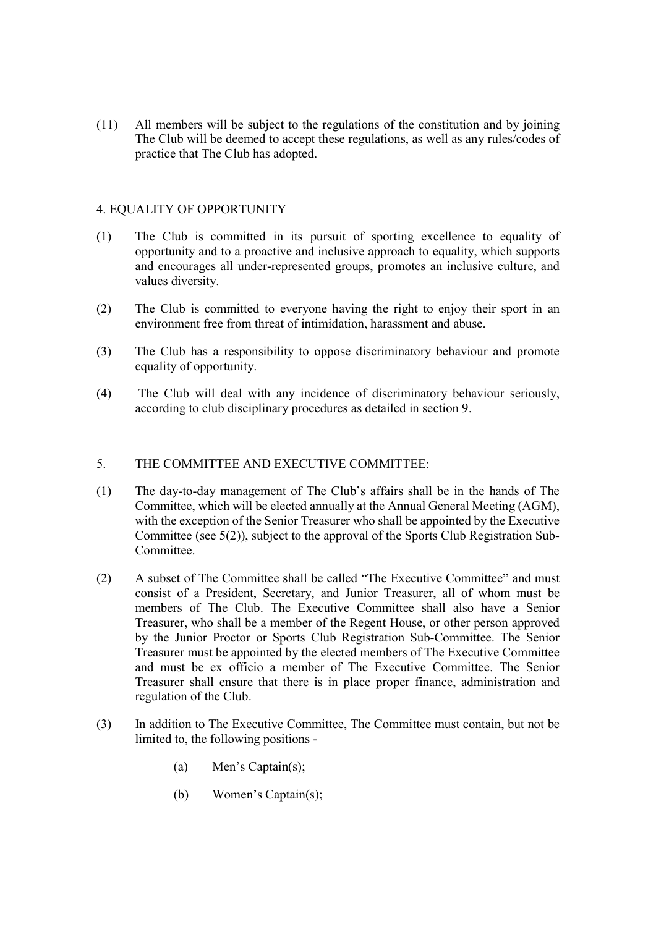(11) All members will be subject to the regulations of the constitution and by joining The Club will be deemed to accept these regulations, as well as any rules/codes of practice that The Club has adopted.

#### 4. EQUALITY OF OPPORTUNITY

- (1) The Club is committed in its pursuit of sporting excellence to equality of opportunity and to a proactive and inclusive approach to equality, which supports and encourages all under-represented groups, promotes an inclusive culture, and values diversity.
- (2) The Club is committed to everyone having the right to enjoy their sport in an environment free from threat of intimidation, harassment and abuse.
- (3) The Club has a responsibility to oppose discriminatory behaviour and promote equality of opportunity.
- (4) The Club will deal with any incidence of discriminatory behaviour seriously, according to club disciplinary procedures as detailed in section 9.

#### 5. THE COMMITTEE AND EXECUTIVE COMMITTEE:

- (1) The day-to-day management of The Club's affairs shall be in the hands of The Committee, which will be elected annually at the Annual General Meeting (AGM), with the exception of the Senior Treasurer who shall be appointed by the Executive Committee (see 5(2)), subject to the approval of the Sports Club Registration Sub-Committee.
- (2) A subset of The Committee shall be called "The Executive Committee" and must consist of a President, Secretary, and Junior Treasurer, all of whom must be members of The Club. The Executive Committee shall also have a Senior Treasurer, who shall be a member of the Regent House, or other person approved by the Junior Proctor or Sports Club Registration Sub-Committee. The Senior Treasurer must be appointed by the elected members of The Executive Committee and must be ex officio a member of The Executive Committee. The Senior Treasurer shall ensure that there is in place proper finance, administration and regulation of the Club.
- (3) In addition to The Executive Committee, The Committee must contain, but not be limited to, the following positions -
	- (a) Men's Captain(s);
	- (b) Women's Captain(s);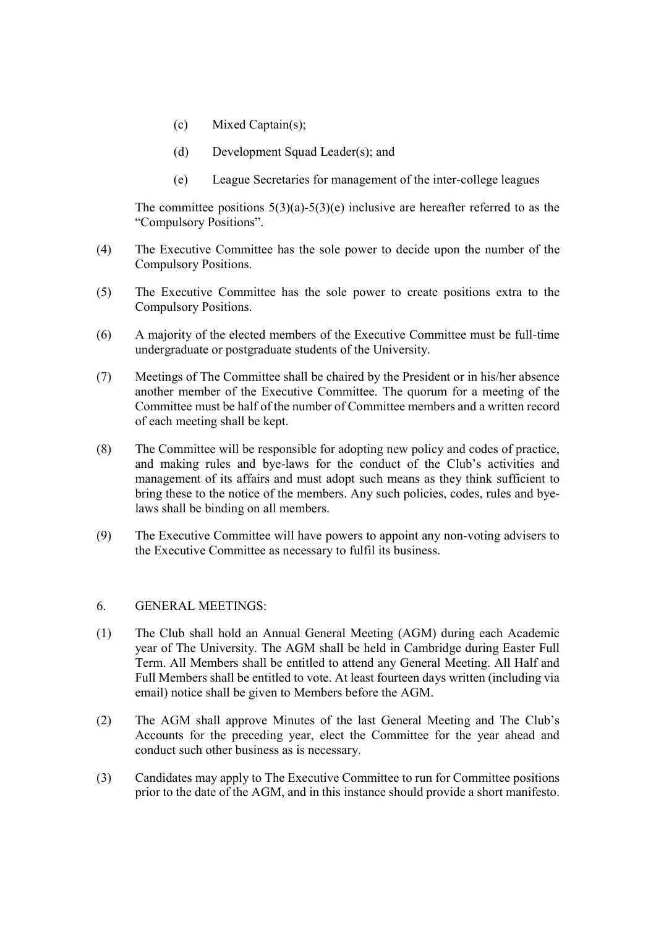- (c) Mixed Captain(s);
- (d) Development Squad Leader(s); and
- (e) League Secretaries for management of the inter-college leagues

The committee positions  $5(3)(a)-5(3)(e)$  inclusive are hereafter referred to as the "Compulsory Positions".

- (4) The Executive Committee has the sole power to decide upon the number of the Compulsory Positions.
- (5) The Executive Committee has the sole power to create positions extra to the Compulsory Positions.
- (6) A majority of the elected members of the Executive Committee must be full-time undergraduate or postgraduate students of the University.
- (7) Meetings of The Committee shall be chaired by the President or in his/her absence another member of the Executive Committee. The quorum for a meeting of the Committee must be half of the number of Committee members and a written record of each meeting shall be kept.
- (8) The Committee will be responsible for adopting new policy and codes of practice, and making rules and bye-laws for the conduct of the Club's activities and management of its affairs and must adopt such means as they think sufficient to bring these to the notice of the members. Any such policies, codes, rules and byelaws shall be binding on all members.
- (9) The Executive Committee will have powers to appoint any non-voting advisers to the Executive Committee as necessary to fulfil its business.

# 6. GENERAL MEETINGS:

- (1) The Club shall hold an Annual General Meeting (AGM) during each Academic year of The University. The AGM shall be held in Cambridge during Easter Full Term. All Members shall be entitled to attend any General Meeting. All Half and Full Members shall be entitled to vote. At least fourteen days written (including via email) notice shall be given to Members before the AGM.
- (2) The AGM shall approve Minutes of the last General Meeting and The Club's Accounts for the preceding year, elect the Committee for the year ahead and conduct such other business as is necessary.
- (3) Candidates may apply to The Executive Committee to run for Committee positions prior to the date of the AGM, and in this instance should provide a short manifesto.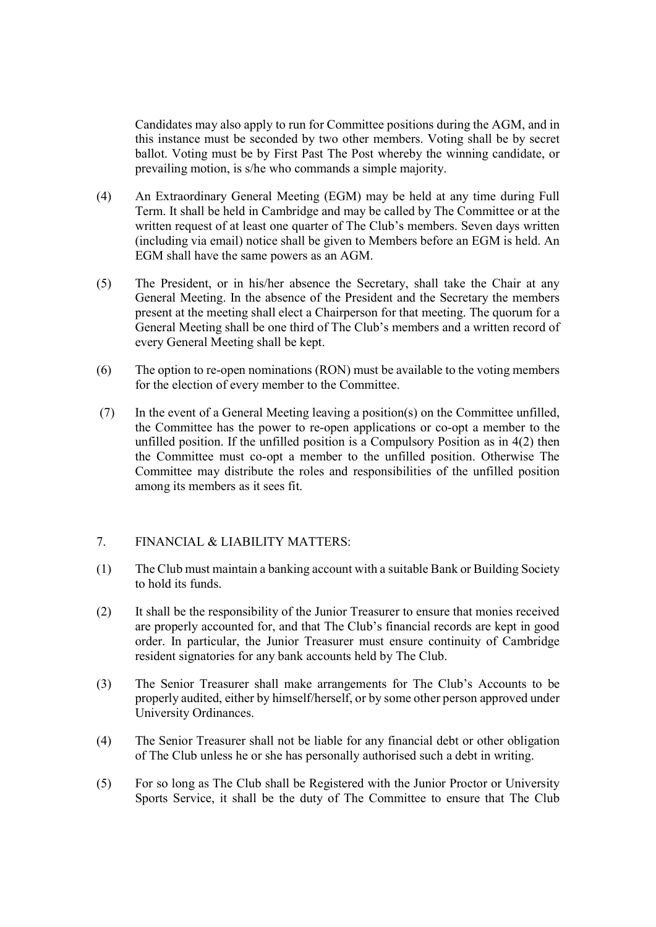Candidates may also apply to run for Committee positions during the AGM, and in this instance must be seconded by two other members. Voting shall be by secret ballot. Voting must be by First Past The Post whereby the winning candidate, or prevailing motion, is s/he who commands a simple majority.

- (4) An Extraordinary General Meeting (EGM) may be held at any time during Full Term. It shall be held in Cambridge and may be called by The Committee or at the written request of at least one quarter of The Club's members. Seven days written (including via email) notice shall be given to Members before an EGM is held. An EGM shall have the same powers as an AGM.
- (5) The President, or in his/her absence the Secretary, shall take the Chair at any General Meeting. In the absence of the President and the Secretary the members present at the meeting shall elect a Chairperson for that meeting. The quorum for a General Meeting shall be one third of The Club's members and a written record of every General Meeting shall be kept.
- (6) The option to re-open nominations (RON) must be available to the voting members for the election of every member to the Committee.
- (7) In the event of a General Meeting leaving a position(s) on the Committee unfilled, the Committee has the power to re-open applications or co-opt a member to the unfilled position. If the unfilled position is a Compulsory Position as in 4(2) then the Committee must co-opt a member to the unfilled position. Otherwise The Committee may distribute the roles and responsibilities of the unfilled position among its members as it sees fit.

# 7. FINANCIAL & LIABILITY MATTERS:

- (1) The Club must maintain a banking account with a suitable Bank or Building Society to hold its funds.
- (2) It shall be the responsibility of the Junior Treasurer to ensure that monies received are properly accounted for, and that The Club's financial records are kept in good order. In particular, the Junior Treasurer must ensure continuity of Cambridge resident signatories for any bank accounts held by The Club.
- (3) The Senior Treasurer shall make arrangements for The Club's Accounts to be properly audited, either by himself/herself, or by some other person approved under University Ordinances.
- (4) The Senior Treasurer shall not be liable for any financial debt or other obligation of The Club unless he or she has personally authorised such a debt in writing.
- (5) For so long as The Club shall be Registered with the Junior Proctor or University Sports Service, it shall be the duty of The Committee to ensure that The Club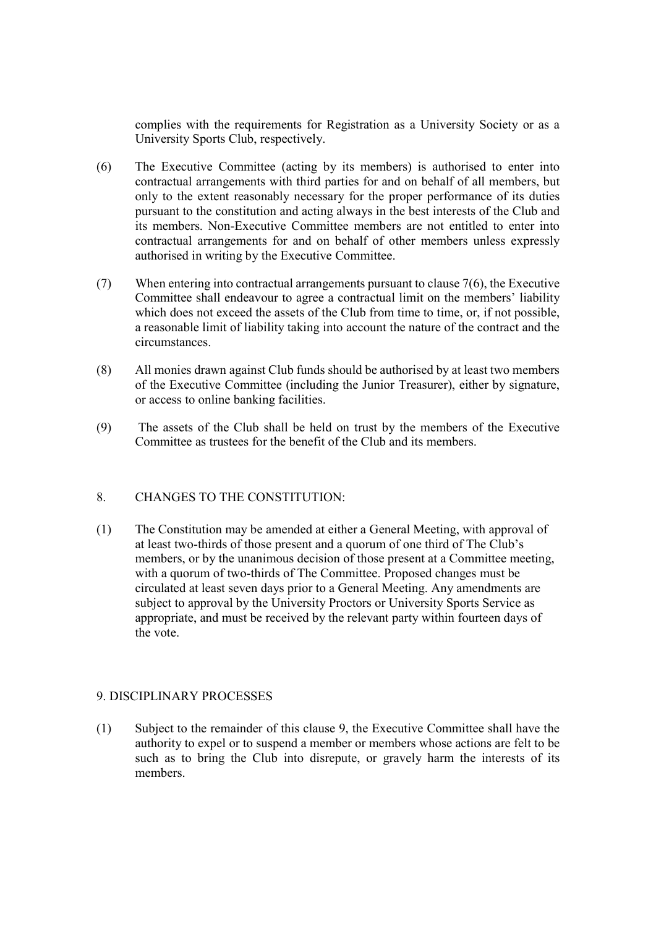complies with the requirements for Registration as a University Society or as a University Sports Club, respectively.

- (6) The Executive Committee (acting by its members) is authorised to enter into contractual arrangements with third parties for and on behalf of all members, but only to the extent reasonably necessary for the proper performance of its duties pursuant to the constitution and acting always in the best interests of the Club and its members. Non-Executive Committee members are not entitled to enter into contractual arrangements for and on behalf of other members unless expressly authorised in writing by the Executive Committee.
- (7) When entering into contractual arrangements pursuant to clause 7(6), the Executive Committee shall endeavour to agree a contractual limit on the members' liability which does not exceed the assets of the Club from time to time, or, if not possible, a reasonable limit of liability taking into account the nature of the contract and the circumstances.
- (8) All monies drawn against Club funds should be authorised by at least two members of the Executive Committee (including the Junior Treasurer), either by signature, or access to online banking facilities.
- (9) The assets of the Club shall be held on trust by the members of the Executive Committee as trustees for the benefit of the Club and its members.

# 8. CHANGES TO THE CONSTITUTION:

(1) The Constitution may be amended at either a General Meeting, with approval of at least two-thirds of those present and a quorum of one third of The Club's members, or by the unanimous decision of those present at a Committee meeting, with a quorum of two-thirds of The Committee. Proposed changes must be circulated at least seven days prior to a General Meeting. Any amendments are subject to approval by the University Proctors or University Sports Service as appropriate, and must be received by the relevant party within fourteen days of the vote.

#### 9. DISCIPLINARY PROCESSES

(1) Subject to the remainder of this clause 9, the Executive Committee shall have the authority to expel or to suspend a member or members whose actions are felt to be such as to bring the Club into disrepute, or gravely harm the interests of its members.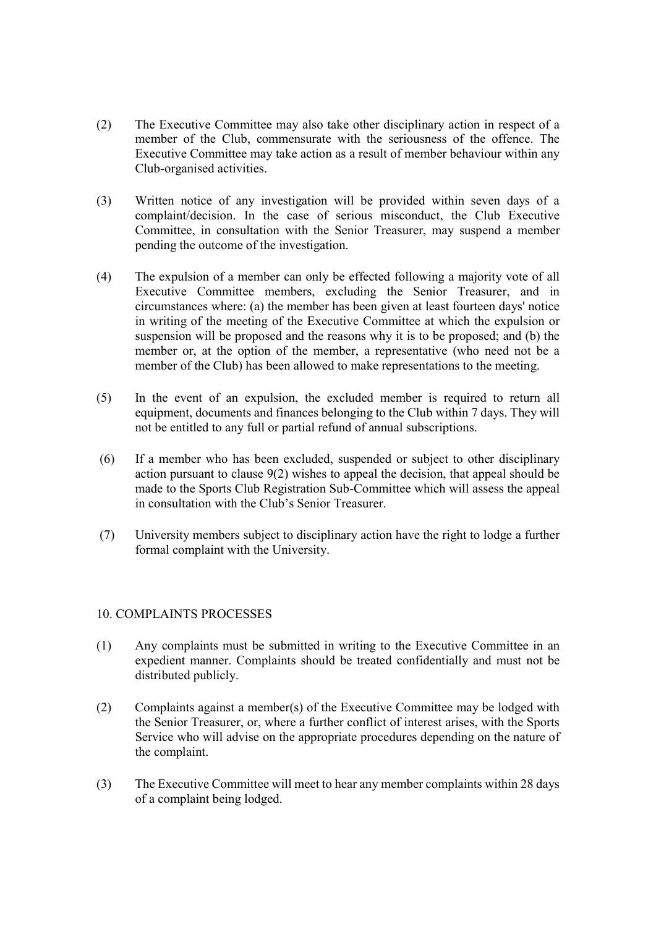- (2) The Executive Committee may also take other disciplinary action in respect of a member of the Club, commensurate with the seriousness of the offence. The Executive Committee may take action as a result of member behaviour within any Club-organised activities.
- (3) Written notice of any investigation will be provided within seven days of a complaint/decision. In the case of serious misconduct, the Club Executive Committee, in consultation with the Senior Treasurer, may suspend a member pending the outcome of the investigation.
- (4) The expulsion of a member can only be effected following a majority vote of all Executive Committee members, excluding the Senior Treasurer, and in circumstances where: (a) the member has been given at least fourteen days' notice in writing of the meeting of the Executive Committee at which the expulsion or suspension will be proposed and the reasons why it is to be proposed; and (b) the member or, at the option of the member, a representative (who need not be a member of the Club) has been allowed to make representations to the meeting.
- (5) In the event of an expulsion, the excluded member is required to return all equipment, documents and finances belonging to the Club within 7 days. They will not be entitled to any full or partial refund of annual subscriptions.
- (6) If a member who has been excluded, suspended or subject to other disciplinary action pursuant to clause 9(2) wishes to appeal the decision, that appeal should be made to the Sports Club Registration Sub-Committee which will assess the appeal in consultation with the Club's Senior Treasurer.
- (7) University members subject to disciplinary action have the right to lodge a further formal complaint with the University.

# 10. COMPLAINTS PROCESSES

- (1) Any complaints must be submitted in writing to the Executive Committee in an expedient manner. Complaints should be treated confidentially and must not be distributed publicly.
- (2) Complaints against a member(s) of the Executive Committee may be lodged with the Senior Treasurer, or, where a further conflict of interest arises, with the Sports Service who will advise on the appropriate procedures depending on the nature of the complaint.
- (3) The Executive Committee will meet to hear any member complaints within 28 days of a complaint being lodged.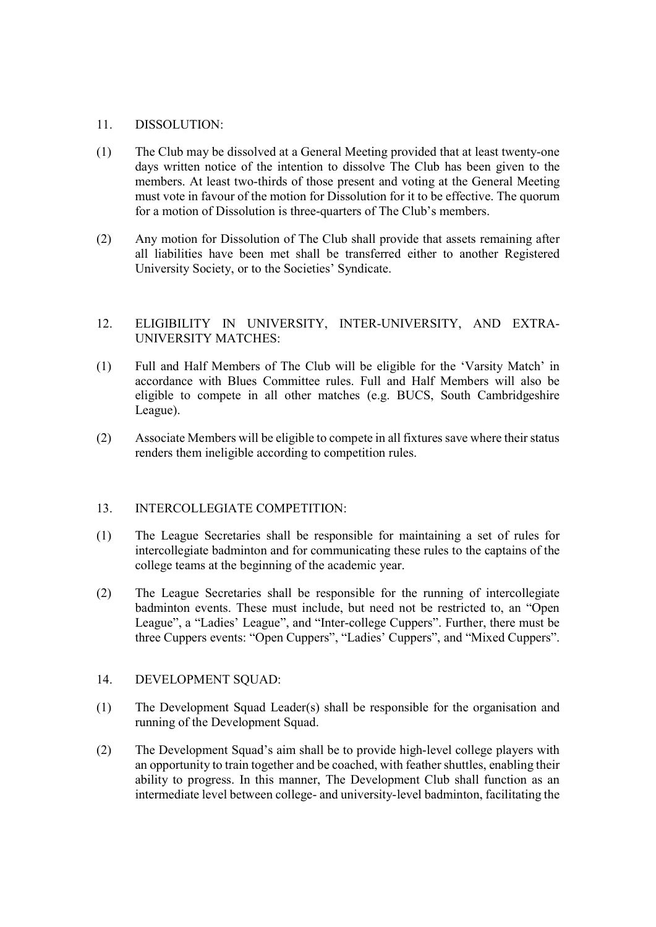#### 11. DISSOLUTION:

- (1) The Club may be dissolved at a General Meeting provided that at least twenty-one days written notice of the intention to dissolve The Club has been given to the members. At least two-thirds of those present and voting at the General Meeting must vote in favour of the motion for Dissolution for it to be effective. The quorum for a motion of Dissolution is three-quarters of The Club's members.
- (2) Any motion for Dissolution of The Club shall provide that assets remaining after all liabilities have been met shall be transferred either to another Registered University Society, or to the Societies' Syndicate.

# 12. ELIGIBILITY IN UNIVERSITY, INTER-UNIVERSITY, AND EXTRA-UNIVERSITY MATCHES:

- (1) Full and Half Members of The Club will be eligible for the 'Varsity Match' in accordance with Blues Committee rules. Full and Half Members will also be eligible to compete in all other matches (e.g. BUCS, South Cambridgeshire League).
- (2) Associate Members will be eligible to compete in all fixtures save where their status renders them ineligible according to competition rules.

# 13. INTERCOLLEGIATE COMPETITION:

- (1) The League Secretaries shall be responsible for maintaining a set of rules for intercollegiate badminton and for communicating these rules to the captains of the college teams at the beginning of the academic year.
- (2) The League Secretaries shall be responsible for the running of intercollegiate badminton events. These must include, but need not be restricted to, an "Open League", a "Ladies' League", and "Inter-college Cuppers". Further, there must be three Cuppers events: "Open Cuppers", "Ladies' Cuppers", and "Mixed Cuppers".

#### 14. DEVELOPMENT SQUAD:

- (1) The Development Squad Leader(s) shall be responsible for the organisation and running of the Development Squad.
- (2) The Development Squad's aim shall be to provide high-level college players with an opportunity to train together and be coached, with feather shuttles, enabling their ability to progress. In this manner, The Development Club shall function as an intermediate level between college- and university-level badminton, facilitating the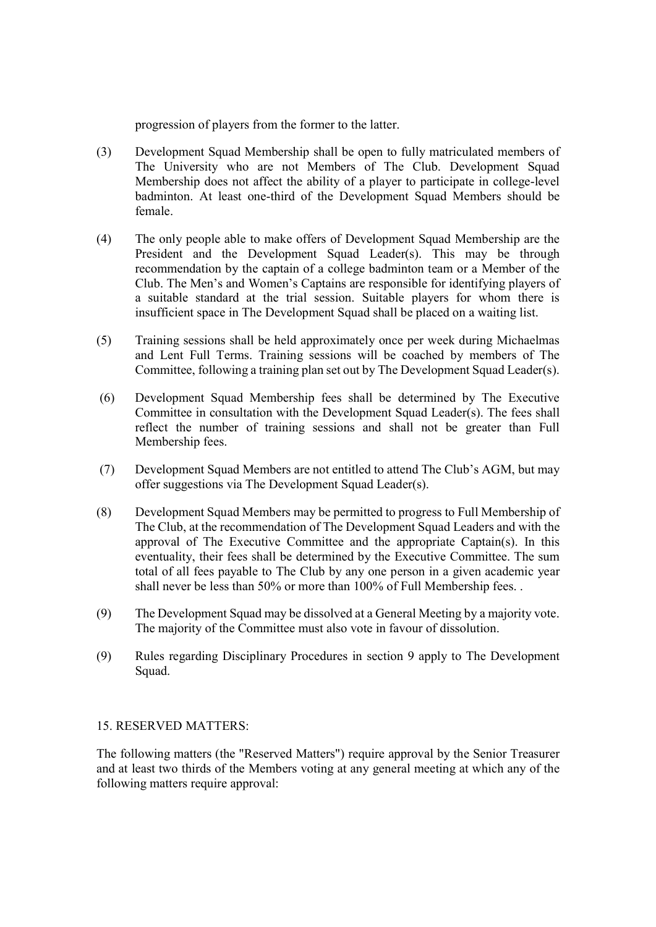progression of players from the former to the latter.

- (3) Development Squad Membership shall be open to fully matriculated members of The University who are not Members of The Club. Development Squad Membership does not affect the ability of a player to participate in college-level badminton. At least one-third of the Development Squad Members should be female.
- (4) The only people able to make offers of Development Squad Membership are the President and the Development Squad Leader(s). This may be through recommendation by the captain of a college badminton team or a Member of the Club. The Men's and Women's Captains are responsible for identifying players of a suitable standard at the trial session. Suitable players for whom there is insufficient space in The Development Squad shall be placed on a waiting list.
- (5) Training sessions shall be held approximately once per week during Michaelmas and Lent Full Terms. Training sessions will be coached by members of The Committee, following a training plan set out by The Development Squad Leader(s).
- (6) Development Squad Membership fees shall be determined by The Executive Committee in consultation with the Development Squad Leader(s). The fees shall reflect the number of training sessions and shall not be greater than Full Membership fees.
- (7) Development Squad Members are not entitled to attend The Club's AGM, but may offer suggestions via The Development Squad Leader(s).
- (8) Development Squad Members may be permitted to progress to Full Membership of The Club, at the recommendation of The Development Squad Leaders and with the approval of The Executive Committee and the appropriate Captain(s). In this eventuality, their fees shall be determined by the Executive Committee. The sum total of all fees payable to The Club by any one person in a given academic year shall never be less than 50% or more than 100% of Full Membership fees. .
- (9) The Development Squad may be dissolved at a General Meeting by a majority vote. The majority of the Committee must also vote in favour of dissolution.
- (9) Rules regarding Disciplinary Procedures in section 9 apply to The Development Squad.

#### 15. RESERVED MATTERS:

The following matters (the "Reserved Matters") require approval by the Senior Treasurer and at least two thirds of the Members voting at any general meeting at which any of the following matters require approval: